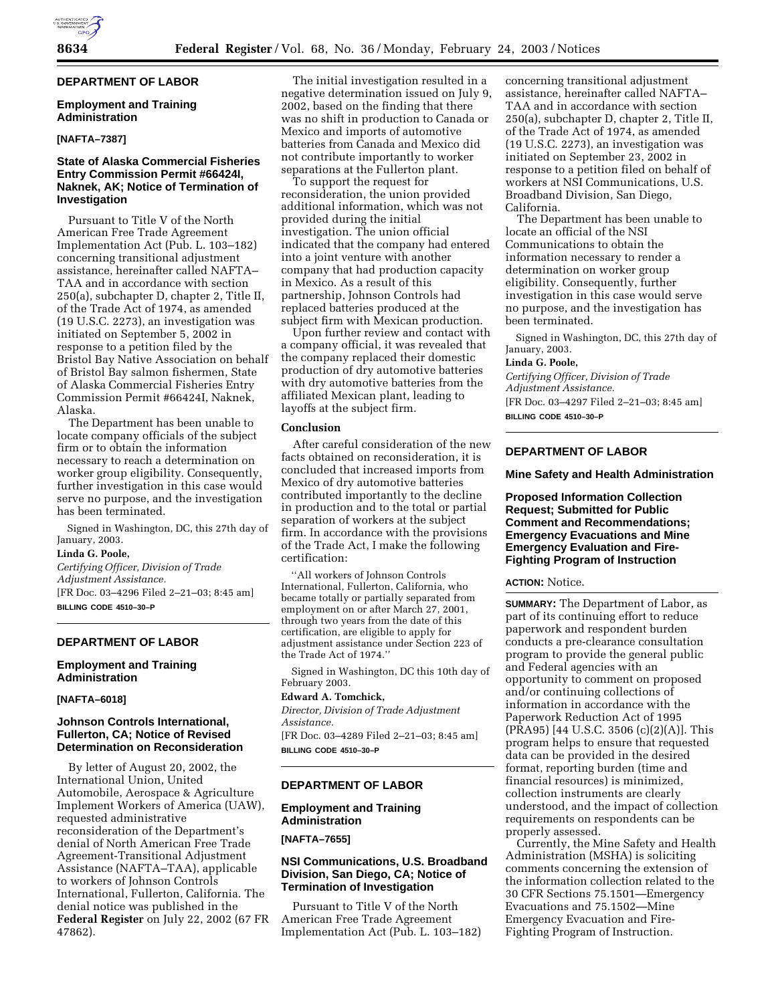# **DEPARTMENT OF LABOR**

# **Employment and Training Administration**

# **[NAFTA–7387]**

# **State of Alaska Commercial Fisheries Entry Commission Permit #66424I, Naknek, AK; Notice of Termination of Investigation**

Pursuant to Title V of the North American Free Trade Agreement Implementation Act (Pub. L. 103–182) concerning transitional adjustment assistance, hereinafter called NAFTA– TAA and in accordance with section 250(a), subchapter D, chapter 2, Title II, of the Trade Act of 1974, as amended (19 U.S.C. 2273), an investigation was initiated on September 5, 2002 in response to a petition filed by the Bristol Bay Native Association on behalf of Bristol Bay salmon fishermen, State of Alaska Commercial Fisheries Entry Commission Permit #66424I, Naknek, Alaska.

The Department has been unable to locate company officials of the subject firm or to obtain the information necessary to reach a determination on worker group eligibility. Consequently, further investigation in this case would serve no purpose, and the investigation has been terminated.

Signed in Washington, DC, this 27th day of January, 2003.

#### **Linda G. Poole,**

*Certifying Officer, Division of Trade Adjustment Assistance.* [FR Doc. 03–4296 Filed 2–21–03; 8:45 am] **BILLING CODE 4510–30–P**

# **DEPARTMENT OF LABOR**

### **Employment and Training Administration**

#### **[NAFTA–6018]**

### **Johnson Controls International, Fullerton, CA; Notice of Revised Determination on Reconsideration**

By letter of August 20, 2002, the International Union, United Automobile, Aerospace & Agriculture Implement Workers of America (UAW), requested administrative reconsideration of the Department's denial of North American Free Trade Agreement-Transitional Adjustment Assistance (NAFTA–TAA), applicable to workers of Johnson Controls International, Fullerton, California. The denial notice was published in the **Federal Register** on July 22, 2002 (67 FR 47862).

The initial investigation resulted in a negative determination issued on July 9, 2002, based on the finding that there was no shift in production to Canada or Mexico and imports of automotive batteries from Canada and Mexico did not contribute importantly to worker separations at the Fullerton plant.

To support the request for reconsideration, the union provided additional information, which was not provided during the initial investigation. The union official indicated that the company had entered into a joint venture with another company that had production capacity in Mexico. As a result of this partnership, Johnson Controls had replaced batteries produced at the subject firm with Mexican production.

Upon further review and contact with a company official, it was revealed that the company replaced their domestic production of dry automotive batteries with dry automotive batteries from the affiliated Mexican plant, leading to layoffs at the subject firm.

#### **Conclusion**

After careful consideration of the new facts obtained on reconsideration, it is concluded that increased imports from Mexico of dry automotive batteries contributed importantly to the decline in production and to the total or partial separation of workers at the subject firm. In accordance with the provisions of the Trade Act, I make the following certification:

''All workers of Johnson Controls International, Fullerton, California, who became totally or partially separated from employment on or after March 27, 2001, through two years from the date of this certification, are eligible to apply for adjustment assistance under Section 223 of the Trade Act of 1974.''

Signed in Washington, DC this 10th day of February 2003.

### **Edward A. Tomchick,**

*Director, Division of Trade Adjustment Assistance.*

[FR Doc. 03–4289 Filed 2–21–03; 8:45 am] **BILLING CODE 4510–30–P**

# **DEPARTMENT OF LABOR**

# **Employment and Training Administration**

# **[NAFTA–7655]**

# **NSI Communications, U.S. Broadband Division, San Diego, CA; Notice of Termination of Investigation**

Pursuant to Title V of the North American Free Trade Agreement Implementation Act (Pub. L. 103–182) concerning transitional adjustment assistance, hereinafter called NAFTA– TAA and in accordance with section 250(a), subchapter D, chapter 2, Title II, of the Trade Act of 1974, as amended (19 U.S.C. 2273), an investigation was initiated on September 23, 2002 in response to a petition filed on behalf of workers at NSI Communications, U.S. Broadband Division, San Diego, California.

The Department has been unable to locate an official of the NSI Communications to obtain the information necessary to render a determination on worker group eligibility. Consequently, further investigation in this case would serve no purpose, and the investigation has been terminated.

Signed in Washington, DC, this 27th day of January, 2003.

### **Linda G. Poole,**

*Certifying Officer, Division of Trade Adjustment Assistance.* [FR Doc. 03–4297 Filed 2–21–03; 8:45 am]

**BILLING CODE 4510–30–P**

# **DEPARTMENT OF LABOR**

#### **Mine Safety and Health Administration**

**Proposed Information Collection Request; Submitted for Public Comment and Recommendations; Emergency Evacuations and Mine Emergency Evaluation and Fire-Fighting Program of Instruction**

### **ACTION:** Notice.

**SUMMARY:** The Department of Labor, as part of its continuing effort to reduce paperwork and respondent burden conducts a pre-clearance consultation program to provide the general public and Federal agencies with an opportunity to comment on proposed and/or continuing collections of information in accordance with the Paperwork Reduction Act of 1995 (PRA95) [44 U.S.C. 3506 (c)(2)(A)]. This program helps to ensure that requested data can be provided in the desired format, reporting burden (time and financial resources) is minimized, collection instruments are clearly understood, and the impact of collection requirements on respondents can be properly assessed.

Currently, the Mine Safety and Health Administration (MSHA) is soliciting comments concerning the extension of the information collection related to the 30 CFR Sections 75.1501—Emergency Evacuations and 75.1502—Mine Emergency Evacuation and Fire-Fighting Program of Instruction.